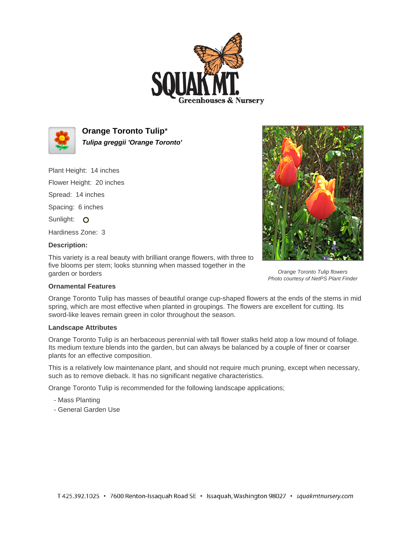



**Orange Toronto Tulip**\* **Tulipa greggii 'Orange Toronto'**

Plant Height: 14 inches

Flower Height: 20 inches Spread: 14 inches

Spacing: 6 inches

Sunlight: O

Hardiness Zone: 3

## **Description:**

This variety is a real beauty with brilliant orange flowers, with three to five blooms per stem; looks stunning when massed together in the garden or borders



Orange Toronto Tulip flowers Photo courtesy of NetPS Plant Finder

## **Ornamental Features**

Orange Toronto Tulip has masses of beautiful orange cup-shaped flowers at the ends of the stems in mid spring, which are most effective when planted in groupings. The flowers are excellent for cutting. Its sword-like leaves remain green in color throughout the season.

## **Landscape Attributes**

Orange Toronto Tulip is an herbaceous perennial with tall flower stalks held atop a low mound of foliage. Its medium texture blends into the garden, but can always be balanced by a couple of finer or coarser plants for an effective composition.

This is a relatively low maintenance plant, and should not require much pruning, except when necessary, such as to remove dieback. It has no significant negative characteristics.

Orange Toronto Tulip is recommended for the following landscape applications;

- Mass Planting
- General Garden Use